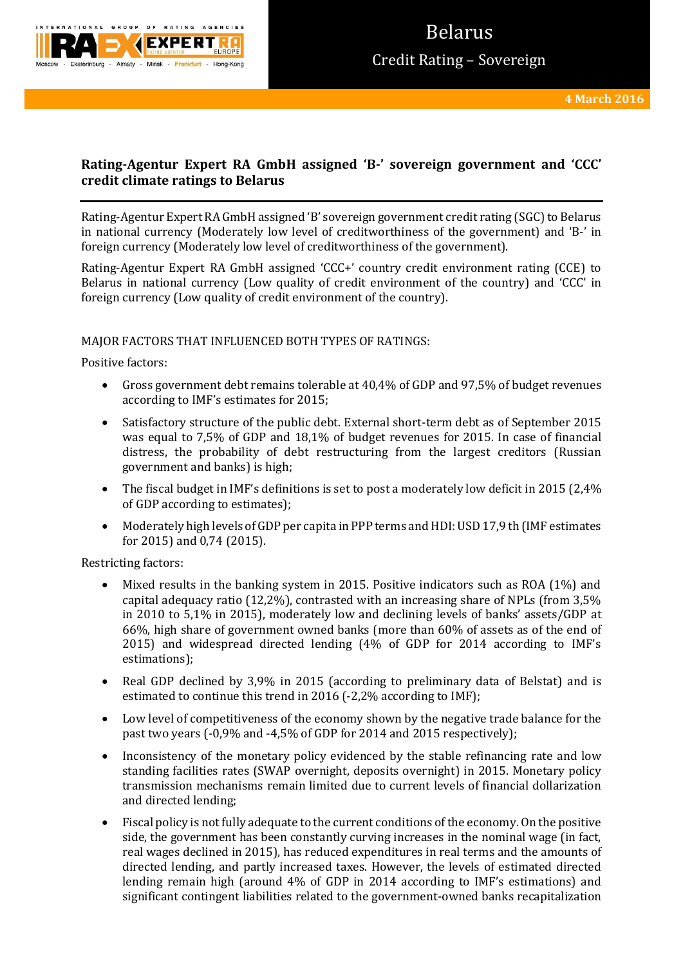

# **Rating-Agentur Expert RA GmbH assigned 'B-' sovereign government and 'CCC' credit climate ratings to Belarus**

Rating-Agentur Expert RA GmbH assigned 'B' sovereign government credit rating (SGC) to Belarus in national currency (Moderately low level of creditworthiness of the government) and 'B-' in foreign currency (Moderately low level of creditworthiness of the government).

Rating-Agentur Expert RA GmbH assigned 'CCC+' country credit environment rating (CCE) to Belarus in national currency (Low quality of credit environment of the country) and 'CCC' in foreign currency (Low quality of credit environment of the country).

# MAJOR FACTORS THAT INFLUENCED BOTH TYPES OF RATINGS:

Positive factors:

- Gross government debt remains tolerable at 40,4% of GDP and 97,5% of budget revenues according to IMF's estimates for 2015;
- Satisfactory structure of the public debt. External short-term debt as of September 2015 was equal to 7,5% of GDP and 18,1% of budget revenues for 2015. In case of financial distress, the probability of debt restructuring from the largest creditors (Russian government and banks) is high;
- The fiscal budget in IMF's definitions is set to post a moderately low deficit in 2015 (2.4%) of GDP according to estimates);
- Moderately high levels of GDP per capita in PPP terms and HDI: USD 17,9 th (IMF estimates for 2015) and 0,74 (2015).

Restricting factors:

- $\bullet$  Mixed results in the banking system in 2015. Positive indicators such as ROA (1%) and capital adequacy ratio (12,2%), contrasted with an increasing share of NPLs (from 3,5% in 2010 to 5,1% in 2015), moderately low and declining levels of banks' assets/GDP at 66%, high share of government owned banks (more than 60% of assets as of the end of 2015) and widespread directed lending (4% of GDP for 2014 according to IMF's estimations);
- Real GDP declined by 3,9% in 2015 (according to preliminary data of Belstat) and is estimated to continue this trend in 2016 (-2,2% according to IMF);
- Low level of competitiveness of the economy shown by the negative trade balance for the past two years (-0,9% and -4,5% of GDP for 2014 and 2015 respectively);
- Inconsistency of the monetary policy evidenced by the stable refinancing rate and low standing facilities rates (SWAP overnight, deposits overnight) in 2015. Monetary policy transmission mechanisms remain limited due to current levels of financial dollarization and directed lending;
- Fiscal policy is not fully adequate to the current conditions of the economy. On the positive side, the government has been constantly curving increases in the nominal wage (in fact, real wages declined in 2015), has reduced expenditures in real terms and the amounts of directed lending, and partly increased taxes. However, the levels of estimated directed lending remain high (around 4% of GDP in 2014 according to IMF's estimations) and significant contingent liabilities related to the government-owned banks recapitalization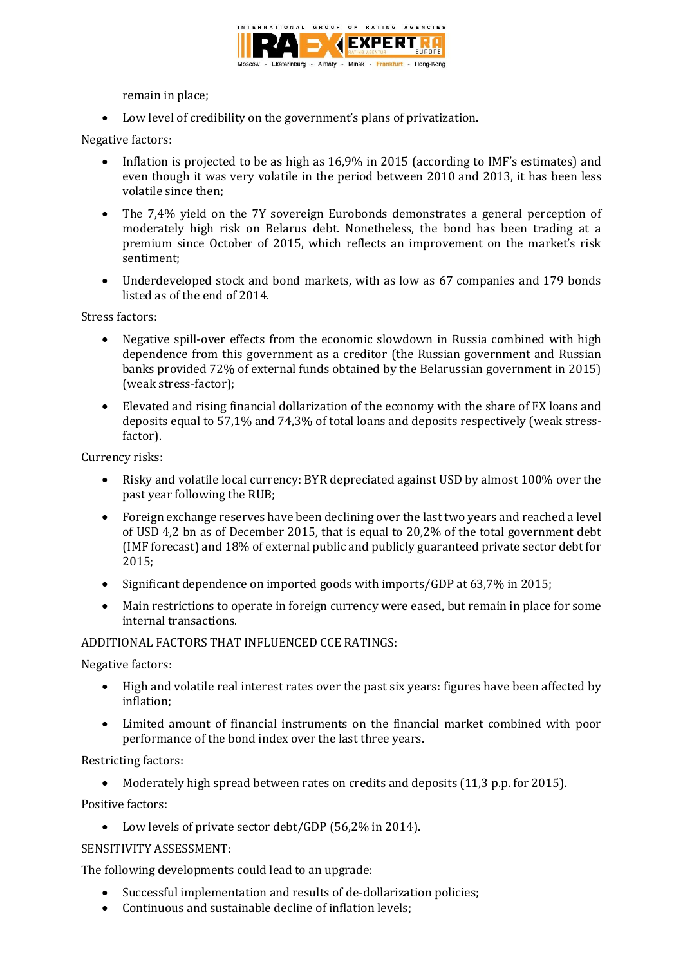

remain in place;

Low level of credibility on the government's plans of privatization.

Negative factors:

- Inflation is projected to be as high as 16,9% in 2015 (according to IMF's estimates) and even though it was very volatile in the period between 2010 and 2013, it has been less volatile since then;
- The 7,4% yield on the 7Y sovereign Eurobonds demonstrates a general perception of moderately high risk on Belarus debt. Nonetheless, the bond has been trading at a premium since October of 2015, which reflects an improvement on the market's risk sentiment;
- Underdeveloped stock and bond markets, with as low as 67 companies and 179 bonds listed as of the end of 2014.

Stress factors:

- Negative spill-over effects from the economic slowdown in Russia combined with high dependence from this government as a creditor (the Russian government and Russian banks provided 72% of external funds obtained by the Belarussian government in 2015) (weak stress-factor);
- Elevated and rising financial dollarization of the economy with the share of FX loans and deposits equal to 57,1% and 74,3% of total loans and deposits respectively (weak stressfactor).

Currency risks:

- Risky and volatile local currency: BYR depreciated against USD by almost 100% over the past year following the RUB;
- Foreign exchange reserves have been declining over the last two years and reached a level of USD 4,2 bn as of December 2015, that is equal to 20,2% of the total government debt (IMF forecast) and 18% of external public and publicly guaranteed private sector debt for 2015;
- Significant dependence on imported goods with imports/GDP at 63,7% in 2015;
- Main restrictions to operate in foreign currency were eased, but remain in place for some internal transactions.

ADDITIONAL FACTORS THAT INFLUENCED CCE RATINGS:

Negative factors:

- High and volatile real interest rates over the past six years: figures have been affected by inflation;
- Limited amount of financial instruments on the financial market combined with poor performance of the bond index over the last three years.

Restricting factors:

Moderately high spread between rates on credits and deposits (11,3 p.p. for 2015).

Positive factors:

Low levels of private sector debt/GDP (56,2% in 2014).

## SENSITIVITY ASSESSMENT:

The following developments could lead to an upgrade:

- Successful implementation and results of de-dollarization policies;
- Continuous and sustainable decline of inflation levels;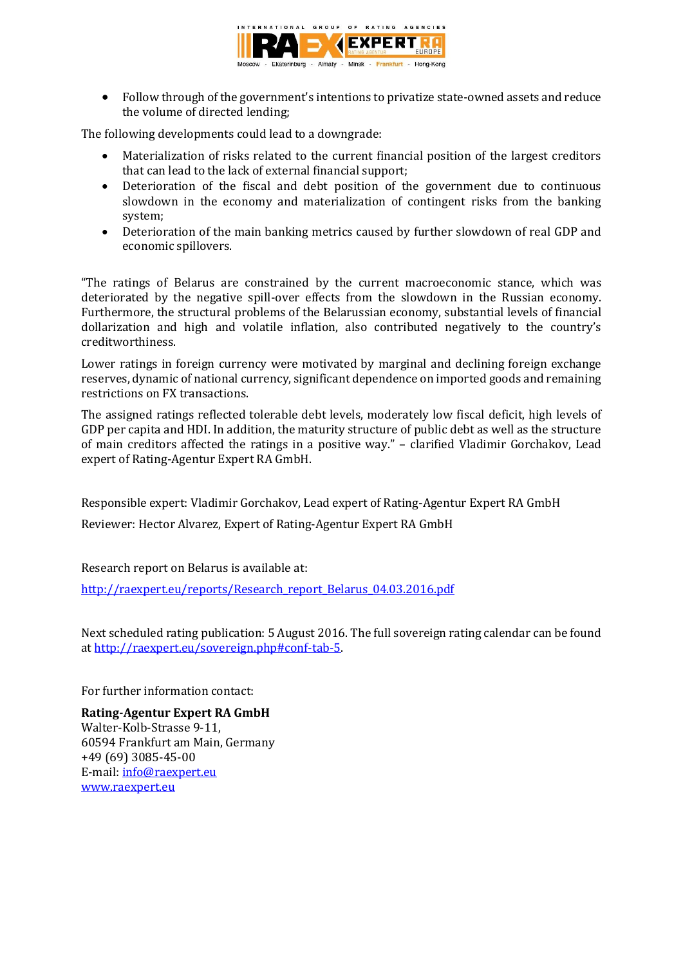

 Follow through of the government's intentions to privatize state-owned assets and reduce the volume of directed lending;

The following developments could lead to a downgrade:

- Materialization of risks related to the current financial position of the largest creditors that can lead to the lack of external financial support;
- Deterioration of the fiscal and debt position of the government due to continuous slowdown in the economy and materialization of contingent risks from the banking system;
- Deterioration of the main banking metrics caused by further slowdown of real GDP and economic spillovers.

"The ratings of Belarus are constrained by the current macroeconomic stance, which was deteriorated by the negative spill-over effects from the slowdown in the Russian economy. Furthermore, the structural problems of the Belarussian economy, substantial levels of financial dollarization and high and volatile inflation, also contributed negatively to the country's creditworthiness.

Lower ratings in foreign currency were motivated by marginal and declining foreign exchange reserves, dynamic of national currency, significant dependence on imported goods and remaining restrictions on FX transactions.

The assigned ratings reflected tolerable debt levels, moderately low fiscal deficit, high levels of GDP per capita and HDI. In addition, the maturity structure of public debt as well as the structure of main creditors affected the ratings in a positive way." – clarified Vladimir Gorchakov, Lead expert of Rating-Agentur Expert RA GmbH.

Responsible expert: Vladimir Gorchakov, Lead expert of Rating-Agentur Expert RA GmbH

Reviewer: Hector Alvarez, Expert of Rating-Agentur Expert RA GmbH

Research report on Belarus is available at:

[http://raexpert.eu/reports/Research\\_report\\_Belarus\\_04.03.2016.pdf](http://raexpert.eu/reports/Research_report_Belarus_04.03.2016.pdf)

Next scheduled rating publication: 5 August 2016. The full sovereign rating calendar can be found at [http://raexpert.eu/sovereign.php#conf-tab-5.](http://raexpert.eu/sovereign.php#conf-tab-5)

For further information contact:

**Rating-Agentur Expert RA GmbH** Walter-Kolb-Strasse 9-11, 60594 Frankfurt am Main, Germany +49 (69) 3085-45-00 E-mail[: info@raexpert.eu](mailto:info@raexpert.eu) [www.raexpert.eu](http://raexpert.eu/)